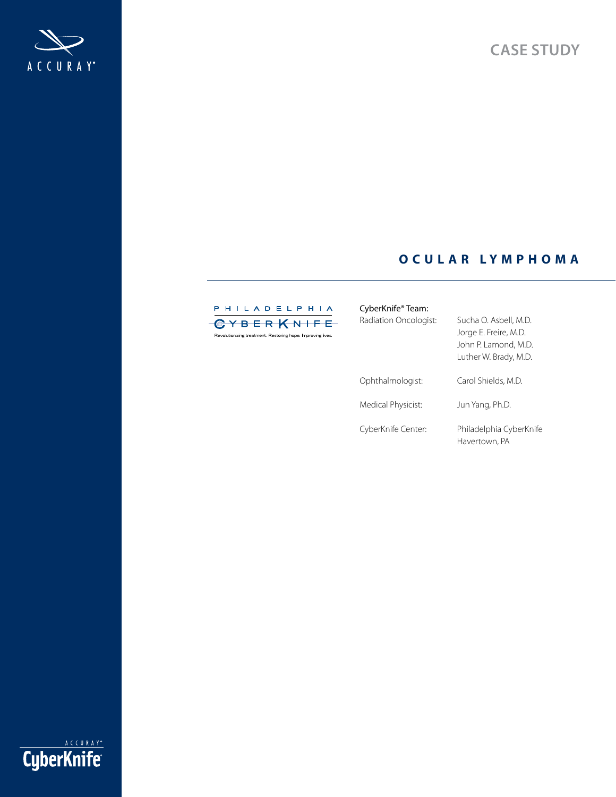

# **O C U L A R LYMPH O M A**



| CyberKnife® Team:              |                                                                                                 |
|--------------------------------|-------------------------------------------------------------------------------------------------|
| Radiation Oncologist:          | Sucha O. Asbell, M.D.<br>Jorge E. Freire, M.D.<br>John P. Lamond, M.D.<br>Luther W. Brady, M.D. |
| Ophthalmologist:               | Carol Shields, M.D.                                                                             |
| Medical Physicist <sup>.</sup> | lun Yang. Ph.D                                                                                  |

Medical Physicist: Jun Yang, Ph.D.

CyberKnife Center: Philadelphia CyberKnife Havertown, PA

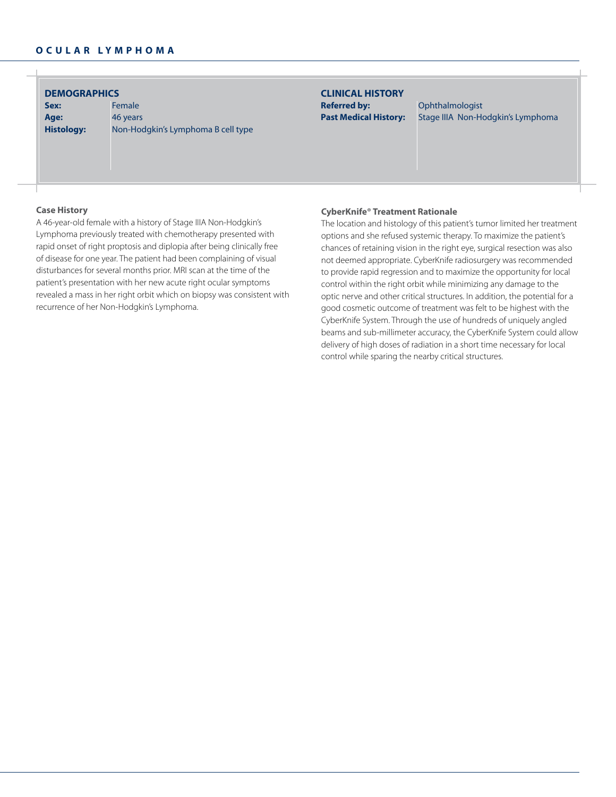**DEMOGRAPHICS CLINICAL HISTORY**

**Age:** 46 years

Sex: Female **Histology:** Non-Hodgkin's Lymphoma B cell type

# **Referred by:** Ophthalmologist

**Past Medical History:** Stage IIIA Non-Hodgkin's Lymphoma

### **Case History**

A 46-year-old female with a history of Stage IIIA Non-Hodgkin's Lymphoma previously treated with chemotherapy presented with rapid onset of right proptosis and diplopia after being clinically free of disease for one year. The patient had been complaining of visual disturbances for several months prior. MRI scan at the time of the patient's presentation with her new acute right ocular symptoms revealed a mass in her right orbit which on biopsy was consistent with recurrence of her Non-Hodgkin's Lymphoma.

#### **CyberKnife® Treatment Rationale**

The location and histology of this patient's tumor limited her treatment options and she refused systemic therapy. To maximize the patient's chances of retaining vision in the right eye, surgical resection was also not deemed appropriate. CyberKnife radiosurgery was recommended to provide rapid regression and to maximize the opportunity for local control within the right orbit while minimizing any damage to the optic nerve and other critical structures. In addition, the potential for a good cosmetic outcome of treatment was felt to be highest with the CyberKnife System. Through the use of hundreds of uniquely angled beams and sub-millimeter accuracy, the CyberKnife System could allow delivery of high doses of radiation in a short time necessary for local control while sparing the nearby critical structures.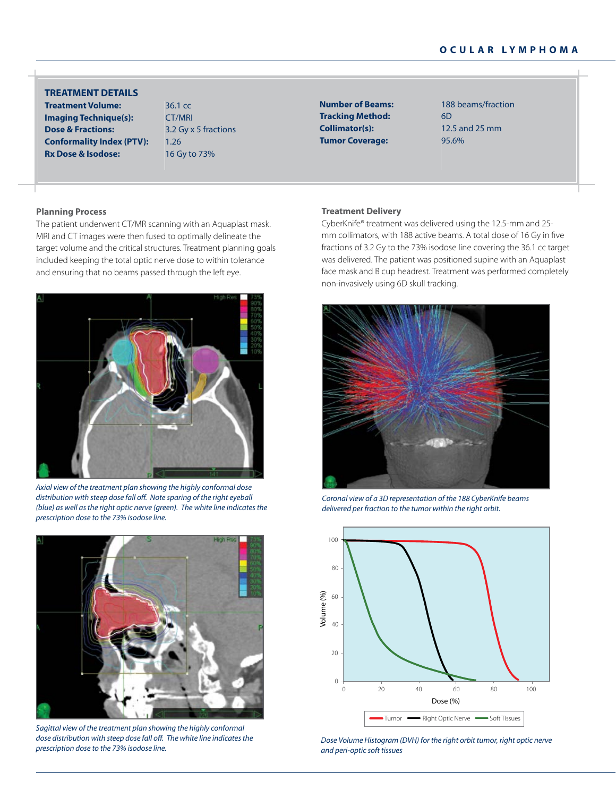# **ocu l a r l y m p h o m a**

## **TREATMENT DETAILS**

**Treatment Volume:** 36.1 cc **Imaging Technique(s):** CT/MRI **Dose & Fractions:** 3.2 Gy x 5 fractions **Conformality Index (PTV):** 1.26 **Rx Dose & Isodose:** 16 Gy to 73%

**Number of Beams:** 188 beams/fraction **Tracking Method:** 6D **Collimator(s):** 12.5 and 25 mm **Tumor Coverage:** 95.6%

#### **Planning Process**

The patient underwent CT/MR scanning with an Aquaplast mask. MRI and CT images were then fused to optimally delineate the target volume and the critical structures. Treatment planning goals included keeping the total optic nerve dose to within tolerance and ensuring that no beams passed through the left eye.



*Axial view of the treatment plan showing the highly conformal dose distribution with steep dose fall off. Note sparing of the right eyeball (blue) as well as the right optic nerve (green). The white line indicates the prescription dose to the 73% isodose line.*



*Sagittal view of the treatment plan showing the highly conformal dose distribution with steep dose fall off. The white line indicates the prescription dose to the 73% isodose line.*

#### **Treatment Delivery**

CyberKnife® treatment was delivered using the 12.5-mm and 25 mm collimators, with 188 active beams. A total dose of 16 Gy in five fractions of 3.2 Gy to the 73% isodose line covering the 36.1 cc target was delivered. The patient was positioned supine with an Aquaplast face mask and B cup headrest. Treatment was performed completely non-invasively using 6D skull tracking.



*Coronal view of a 3D representation of the 188 CyberKnife beams delivered per fraction to the tumor within the right orbit.*



*Dose Volume Histogram (DVH) for the right orbit tumor, right optic nerve and peri-optic soft tissues*